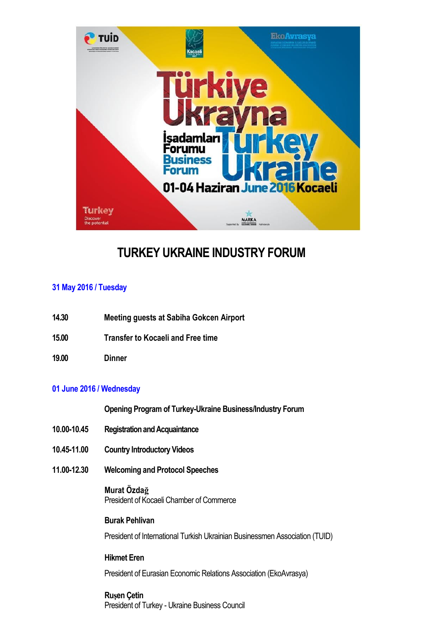

# **TURKEY UKRAINE INDUSTRY FORUM**

#### **31 May 2016 / Tuesday**

- **14.30 Meeting guests at Sabiha Gokcen Airport**
- **15.00 Transfer to Kocaeli and Free time**
- **19.00 Dinner**

#### **01 June 2016 / Wednesday**

**Opening Program of Turkey-Ukraine Business/Industry Forum** 

- **10.00-10.45 Registration and Acquaintance**
- **10.45-11.00 Country Introductory Videos**
- **11.00-12.30 Welcoming and Protocol Speeches**

## **Murat Özdağ**

President of Kocaeli Chamber of Commerce

#### **Burak Pehlivan**

President of International Turkish Ukrainian Businessmen Association (TUID)

#### **Hikmet Eren**

President of Eurasian Economic Relations Association (EkoAvrasya)

#### **Ruşen Çetin**

President of Turkey - Ukraine Business Council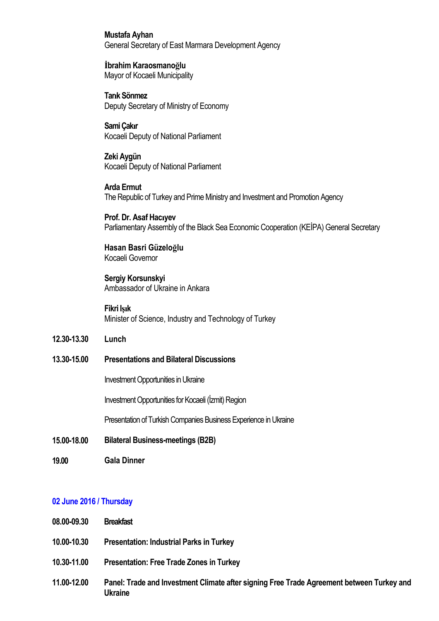**Mustafa Ayhan**  General Secretary of East Marmara Development Agency

**İbrahim Karaosmanoğlu**  Mayor of Kocaeli Municipality

**Tarık Sönmez**  Deputy Secretary of Ministry of Economy

**Sami Çakır**  Kocaeli Deputy of National Parliament

**Zeki Aygün**  Kocaeli Deputy of National Parliament

**Arda Ermut**  The Republic of Turkey and Prime Ministry and Investment and Promotion Agency

**Prof. Dr. Asaf Hacıyev**  Parliamentary Assembly of the Black Sea Economic Cooperation (KEİPA) General Secretary

**Hasan Basri Güzeloğlu**  Kocaeli Governor

**Sergiy Korsunskyi**  Ambassador of Ukraine in Ankara

**Fikri Işık**  Minister of Science, Industry and Technology of Turkey

- **12.30-13.30 Lunch**
- **13.30-15.00 Presentations and Bilateral Discussions**

Investment Opportunities in Ukraine

Investment Opportunities for Kocaeli (İzmit) Region

Presentation of Turkish Companies Business Experience in Ukraine

- **15.00-18.00 Bilateral Business-meetings (B2B)**
- **19.00 Gala Dinner**

#### **02 June 2016 / Thursday**

- **08.00-09.30 Breakfast**
- **10.00-10.30 Presentation: Industrial Parks in Turkey**
- **10.30-11.00 Presentation: Free Trade Zones in Turkey**
- **11.00-12.00 Panel: Trade and Investment Climate after signing Free Trade Agreement between Turkey and Ukraine**